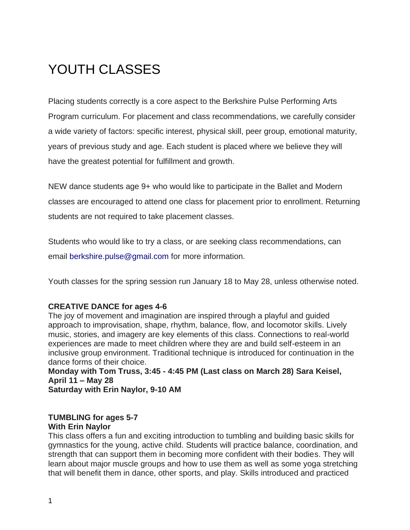# YOUTH CLASSES

Placing students correctly is a core aspect to the Berkshire Pulse Performing Arts Program curriculum. For placement and class recommendations, we carefully consider a wide variety of factors: specific interest, physical skill, peer group, emotional maturity, years of previous study and age. Each student is placed where we believe they will have the greatest potential for fulfillment and growth.

NEW dance students age 9+ who would like to participate in the Ballet and Modern classes are encouraged to attend one class for placement prior to enrollment. Returning students are not required to take placement classes.

Students who would like to try a class, or are seeking class recommendations, can email berkshire.pulse@gmail.com for more information.

Youth classes for the spring session run January 18 to May 28, unless otherwise noted.

#### **CREATIVE DANCE for ages 4-6**

The joy of movement and imagination are inspired through a playful and guided approach to improvisation, shape, rhythm, balance, flow, and locomotor skills. Lively music, stories, and imagery are key elements of this class. Connections to real-world experiences are made to meet children where they are and build self-esteem in an inclusive group environment. Traditional technique is introduced for continuation in the dance forms of their choice.

**Monday with Tom Truss, 3:45 - 4:45 PM (Last class on March 28) Sara Keisel, April 11 – May 28 Saturday with Erin Naylor, 9-10 AM** 

#### **TUMBLING for ages 5-7 With Erin Naylor**

This class offers a fun and exciting introduction to tumbling and building basic skills for gymnastics for the young, active child. Students will practice balance, coordination, and strength that can support them in becoming more confident with their bodies. They will learn about major muscle groups and how to use them as well as some yoga stretching that will benefit them in dance, other sports, and play. Skills introduced and practiced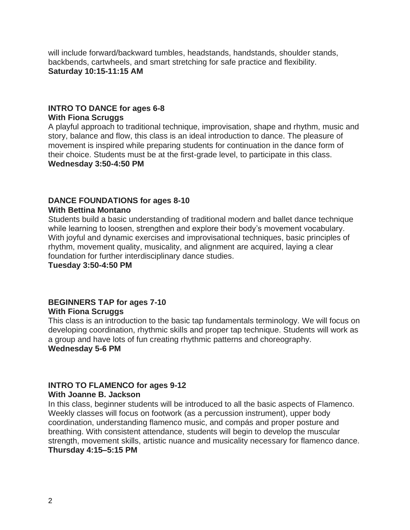will include forward/backward tumbles, headstands, handstands, shoulder stands, backbends, cartwheels, and smart stretching for safe practice and flexibility. **Saturday 10:15-11:15 AM**

## **INTRO TO DANCE for ages 6-8 With Fiona Scruggs**

A playful approach to traditional technique, improvisation, shape and rhythm, music and story, balance and flow, this class is an ideal introduction to dance. The pleasure of movement is inspired while preparing students for continuation in the dance form of their choice. Students must be at the first-grade level, to participate in this class. **Wednesday 3:50-4:50 PM**

## **DANCE FOUNDATIONS for ages 8-10**

#### **With Bettina Montano**

Students build a basic understanding of traditional modern and ballet dance technique while learning to loosen, strengthen and explore their body's movement vocabulary. With joyful and dynamic exercises and improvisational techniques, basic principles of rhythm, movement quality, musicality, and alignment are acquired, laying a clear foundation for further interdisciplinary dance studies.

**Tuesday 3:50-4:50 PM** 

## **BEGINNERS TAP for ages 7-10 With Fiona Scruggs**

This class is an introduction to the basic tap fundamentals terminology. We will focus on developing coordination, rhythmic skills and proper tap technique. Students will work as a group and have lots of fun creating rhythmic patterns and choreography. **Wednesday 5-6 PM**

## **INTRO TO FLAMENCO for ages 9-12**

#### **With Joanne B. Jackson**

In this class, beginner students will be introduced to all the basic aspects of Flamenco. Weekly classes will focus on footwork (as a percussion instrument), upper body coordination, understanding flamenco music, and compás and proper posture and breathing. With consistent attendance, students will begin to develop the muscular strength, movement skills, artistic nuance and musicality necessary for flamenco dance. **Thursday 4:15–5:15 PM**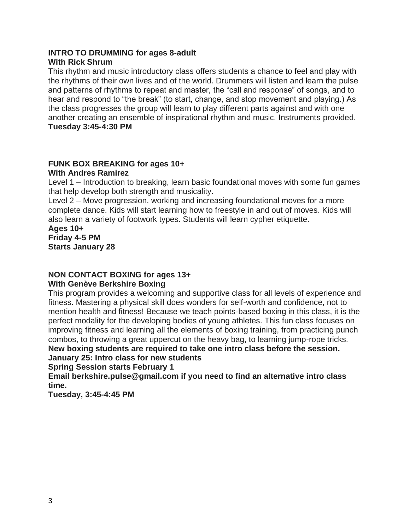## **INTRO TO DRUMMING for ages 8-adult With Rick Shrum**

This rhythm and music introductory class offers students a chance to feel and play with the rhythms of their own lives and of the world. Drummers will listen and learn the pulse and patterns of rhythms to repeat and master, the "call and response" of songs, and to hear and respond to "the break" (to start, change, and stop movement and playing.) As the class progresses the group will learn to play different parts against and with one another creating an ensemble of inspirational rhythm and music. Instruments provided. **Tuesday 3:45-4:30 PM**

#### **FUNK BOX BREAKING for ages 10+ With Andres Ramirez**

Level 1 – Introduction to breaking, learn basic foundational moves with some fun games that help develop both strength and musicality.

Level 2 – Move progression, working and increasing foundational moves for a more complete dance. Kids will start learning how to freestyle in and out of moves. Kids will also learn a variety of footwork types. Students will learn cypher etiquette.

#### **Ages 10+ Friday 4-5 PM Starts January 28**

## **NON CONTACT BOXING for ages 13+**

## **With Genève Berkshire Boxing**

This program provides a welcoming and supportive class for all levels of experience and fitness. Mastering a physical skill does wonders for self-worth and confidence, not to mention health and fitness! Because we teach points-based boxing in this class, it is the perfect modality for the developing bodies of young athletes. This fun class focuses on improving fitness and learning all the elements of boxing training, from practicing punch combos, to throwing a great uppercut on the heavy bag, to learning jump-rope tricks.

**New boxing students are required to take one intro class before the session. January 25: Intro class for new students**

**Spring Session starts February 1** 

**Email berkshire.pulse@gmail.com if you need to find an alternative intro class time.**

**Tuesday, 3:45-4:45 PM**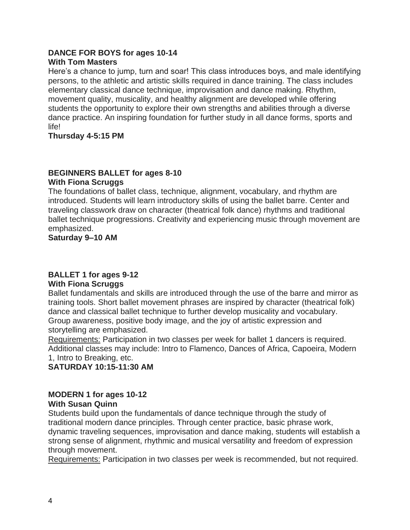#### **DANCE FOR BOYS for ages 10-14 With Tom Masters**

Here's a chance to jump, turn and soar! This class introduces boys, and male identifying persons, to the athletic and artistic skills required in dance training. The class includes elementary classical dance technique, improvisation and dance making. Rhythm, movement quality, musicality, and healthy alignment are developed while offering students the opportunity to explore their own strengths and abilities through a diverse dance practice. An inspiring foundation for further study in all dance forms, sports and life!

**Thursday 4-5:15 PM**

#### **BEGINNERS BALLET for ages 8-10 With Fiona Scruggs**

The foundations of ballet class, technique, alignment, vocabulary, and rhythm are introduced. Students will learn introductory skills of using the ballet barre. Center and traveling classwork draw on character (theatrical folk dance) rhythms and traditional ballet technique progressions. Creativity and experiencing music through movement are emphasized.

**Saturday 9–10 AM**

## **BALLET 1 for ages 9-12**

## **With Fiona Scruggs**

Ballet fundamentals and skills are introduced through the use of the barre and mirror as training tools. Short ballet movement phrases are inspired by character (theatrical folk) dance and classical ballet technique to further develop musicality and vocabulary. Group awareness, positive body image, and the joy of artistic expression and storytelling are emphasized.

Requirements: Participation in two classes per week for ballet 1 dancers is required. Additional classes may include: Intro to Flamenco, Dances of Africa, Capoeira, Modern 1, Intro to Breaking, etc.

**SATURDAY 10:15-11:30 AM**

#### **MODERN 1 for ages 10-12 With Susan Quinn**

Students build upon the fundamentals of dance technique through the study of traditional modern dance principles. Through center practice, basic phrase work, dynamic traveling sequences, improvisation and dance making, students will establish a strong sense of alignment, rhythmic and musical versatility and freedom of expression through movement.

Requirements: Participation in two classes per week is recommended, but not required.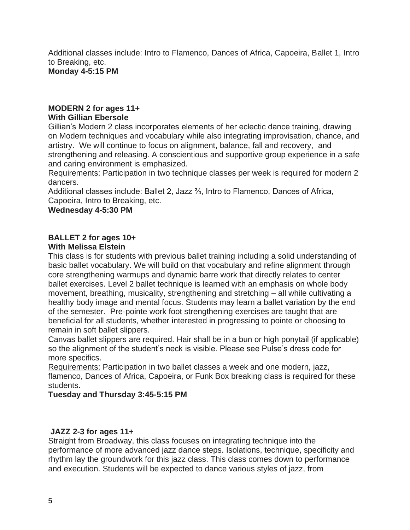Additional classes include: Intro to Flamenco, Dances of Africa, Capoeira, Ballet 1, Intro to Breaking, etc. **Monday 4-5:15 PM**

## **MODERN 2 for ages 11+**

#### **With Gillian Ebersole**

Gillian's Modern 2 class incorporates elements of her eclectic dance training, drawing on Modern techniques and vocabulary while also integrating improvisation, chance, and artistry. We will continue to focus on alignment, balance, fall and recovery, and strengthening and releasing. A conscientious and supportive group experience in a safe and caring environment is emphasized.

Requirements: Participation in two technique classes per week is required for modern 2 dancers.

Additional classes include: Ballet 2, Jazz ⅔, Intro to Flamenco, Dances of Africa, Capoeira, Intro to Breaking, etc.

#### **Wednesday 4-5:30 PM**

#### **BALLET 2 for ages 10+ With Melissa Elstein**

This class is for students with previous ballet training including a solid understanding of basic ballet vocabulary. We will build on that vocabulary and refine alignment through core strengthening warmups and dynamic barre work that directly relates to center ballet exercises. Level 2 ballet technique is learned with an emphasis on whole body movement, breathing, musicality, strengthening and stretching – all while cultivating a healthy body image and mental focus. Students may learn a ballet variation by the end of the semester. Pre-pointe work foot strengthening exercises are taught that are beneficial for all students, whether interested in progressing to pointe or choosing to remain in soft ballet slippers.

Canvas ballet slippers are required. Hair shall be in a bun or high ponytail (if applicable) so the alignment of the student's neck is visible. Please see Pulse's dress code for more specifics.

Requirements: Participation in two ballet classes a week and one modern, jazz, flamenco, Dances of Africa, Capoeira, or Funk Box breaking class is required for these students.

**Tuesday and Thursday 3:45-5:15 PM**

#### **JAZZ 2-3 for ages 11+**

Straight from Broadway, this class focuses on integrating technique into the performance of more advanced jazz dance steps. Isolations, technique, specificity and rhythm lay the groundwork for this jazz class. This class comes down to performance and execution. Students will be expected to dance various styles of jazz, from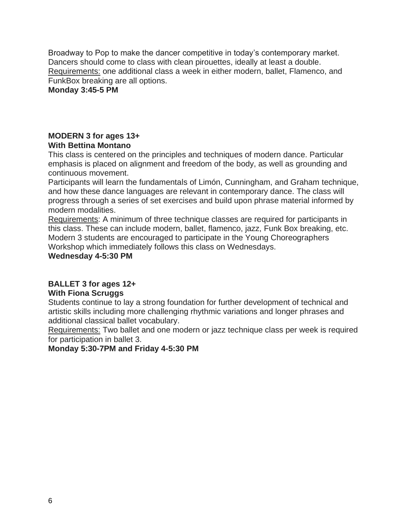Broadway to Pop to make the dancer competitive in today's contemporary market. Dancers should come to class with clean pirouettes, ideally at least a double. Requirements: one additional class a week in either modern, ballet, Flamenco, and FunkBox breaking are all options.

**Monday 3:45-5 PM**

## **MODERN 3 for ages 13+ With Bettina Montano**

This class is centered on the principles and techniques of modern dance. Particular emphasis is placed on alignment and freedom of the body, as well as grounding and continuous movement.

Participants will learn the fundamentals of Limón, Cunningham, and Graham technique, and how these dance languages are relevant in contemporary dance. The class will progress through a series of set exercises and build upon phrase material informed by modern modalities.

Requirements: A minimum of three technique classes are required for participants in this class. These can include modern, ballet, flamenco, jazz, Funk Box breaking, etc. Modern 3 students are encouraged to participate in the Young Choreographers Workshop which immediately follows this class on Wednesdays.

## **Wednesday 4-5:30 PM**

## **BALLET 3 for ages 12+**

## **With Fiona Scruggs**

Students continue to lay a strong foundation for further development of technical and artistic skills including more challenging rhythmic variations and longer phrases and additional classical ballet vocabulary.

Requirements: Two ballet and one modern or jazz technique class per week is required for participation in ballet 3.

## **Monday 5:30-7PM and Friday 4-5:30 PM**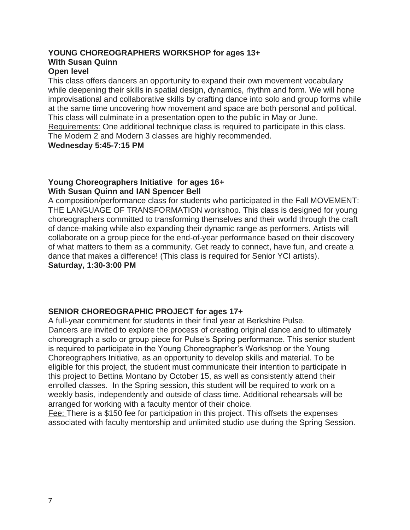## **YOUNG CHOREOGRAPHERS WORKSHOP for ages 13+ With Susan Quinn**

## **Open level**

This class offers dancers an opportunity to expand their own movement vocabulary while deepening their skills in spatial design, dynamics, rhythm and form. We will hone improvisational and collaborative skills by crafting dance into solo and group forms while at the same time uncovering how movement and space are both personal and political. This class will culminate in a presentation open to the public in May or June. Requirements: One additional technique class is required to participate in this class. The Modern 2 and Modern 3 classes are highly recommended. **Wednesday 5:45-7:15 PM**

#### **Young Choreographers Initiative for ages 16+ With Susan Quinn and IAN Spencer Bell**

A composition/performance class for students who participated in the Fall MOVEMENT: THE LANGUAGE OF TRANSFORMATION workshop. This class is designed for young choreographers committed to transforming themselves and their world through the craft of dance-making while also expanding their dynamic range as performers. Artists will collaborate on a group piece for the end-of-year performance based on their discovery of what matters to them as a community. Get ready to connect, have fun, and create a dance that makes a difference! (This class is required for Senior YCI artists). **Saturday, 1:30-3:00 PM**

## **SENIOR CHOREOGRAPHIC PROJECT for ages 17+**

A full-year commitment for students in their final year at Berkshire Pulse. Dancers are invited to explore the process of creating original dance and to ultimately choreograph a solo or group piece for Pulse's Spring performance. This senior student is required to participate in the Young Choreographer's Workshop or the Young Choreographers Initiative, as an opportunity to develop skills and material. To be eligible for this project, the student must communicate their intention to participate in this project to Bettina Montano by October 15, as well as consistently attend their enrolled classes. In the Spring session, this student will be required to work on a weekly basis, independently and outside of class time. Additional rehearsals will be arranged for working with a faculty mentor of their choice.

Fee: There is a \$150 fee for participation in this project. This offsets the expenses associated with faculty mentorship and unlimited studio use during the Spring Session.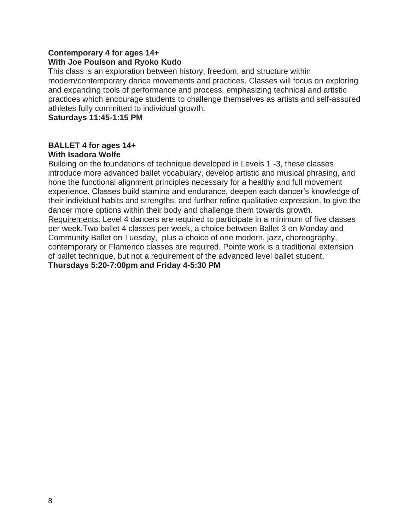#### **Contemporary 4 for ages 14+ With Joe Poulson and Ryoko Kudo**

This class is an exploration between history, freedom, and structure within modern/contemporary dance movements and practices. Classes will focus on exploring and expanding tools of performance and process, emphasizing technical and artistic practices which encourage students to challenge themselves as artists and self-assured athletes fully committed to individual growth.

**Saturdays 11:45-1:15 PM**

## **BALLET 4 for ages 14+ With Isadora Wolfe**

Building on the foundations of technique developed in Levels 1 -3, these classes introduce more advanced ballet vocabulary, develop artistic and musical phrasing, and hone the functional alignment principles necessary for a healthy and full movement experience. Classes build stamina and endurance, deepen each dancer's knowledge of their individual habits and strengths, and further refine qualitative expression, to give the dancer more options within their body and challenge them towards growth. Requirements: Level 4 dancers are required to participate in a minimum of five classes per week.Two ballet 4 classes per week, a choice between Ballet 3 on Monday and Community Ballet on Tuesday, plus a choice of one modern, jazz, choreography, contemporary or Flamenco classes are required. Pointe work is a traditional extension of ballet technique, but not a requirement of the advanced level ballet student. **Thursdays 5:20-7:00pm and Friday 4-5:30 PM**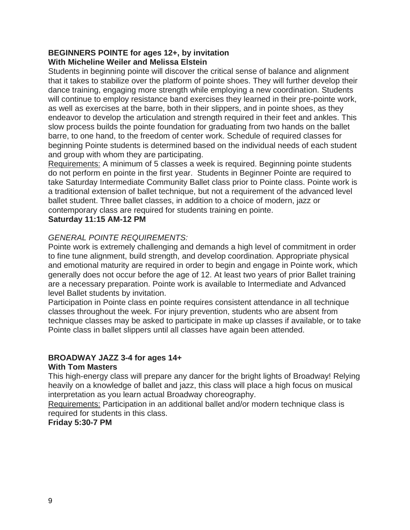#### **BEGINNERS POINTE for ages 12+, by invitation With Micheline Weiler and Melissa Elstein**

Students in beginning pointe will discover the critical sense of balance and alignment that it takes to stabilize over the platform of pointe shoes. They will further develop their dance training, engaging more strength while employing a new coordination. Students will continue to employ resistance band exercises they learned in their pre-pointe work, as well as exercises at the barre, both in their slippers, and in pointe shoes, as they endeavor to develop the articulation and strength required in their feet and ankles. This slow process builds the pointe foundation for graduating from two hands on the ballet barre, to one hand, to the freedom of center work. Schedule of required classes for beginning Pointe students is determined based on the individual needs of each student and group with whom they are participating.

Requirements: A minimum of 5 classes a week is required. Beginning pointe students do not perform en pointe in the first year. Students in Beginner Pointe are required to take Saturday Intermediate Community Ballet class prior to Pointe class. Pointe work is a traditional extension of ballet technique, but not a requirement of the advanced level ballet student. Three ballet classes, in addition to a choice of modern, jazz or contemporary class are required for students training en pointe.

## **Saturday 11:15 AM-12 PM**

## *GENERAL POINTE REQUIREMENTS:*

Pointe work is extremely challenging and demands a high level of commitment in order to fine tune alignment, build strength, and develop coordination. Appropriate physical and emotional maturity are required in order to begin and engage in Pointe work, which generally does not occur before the age of 12. At least two years of prior Ballet training are a necessary preparation. Pointe work is available to Intermediate and Advanced level Ballet students by invitation.

Participation in Pointe class en pointe requires consistent attendance in all technique classes throughout the week. For injury prevention, students who are absent from technique classes may be asked to participate in make up classes if available, or to take Pointe class in ballet slippers until all classes have again been attended.

## **BROADWAY JAZZ 3-4 for ages 14+**

#### **With Tom Masters**

This high-energy class will prepare any dancer for the bright lights of Broadway! Relying heavily on a knowledge of ballet and jazz, this class will place a high focus on musical interpretation as you learn actual Broadway choreography.

Requirements: Participation in an additional ballet and/or modern technique class is required for students in this class.

#### **Friday 5:30-7 PM**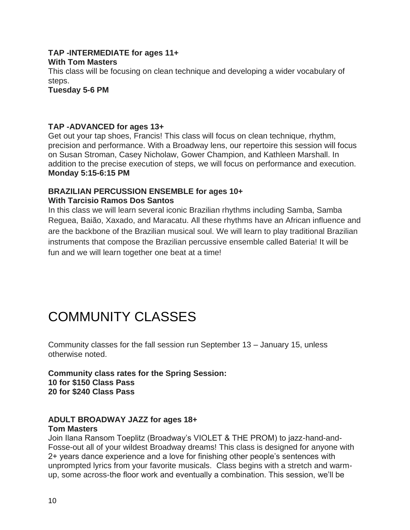#### **TAP -INTERMEDIATE for ages 11+ With Tom Masters**

This class will be focusing on clean technique and developing a wider vocabulary of steps.

**Tuesday 5-6 PM**

#### **TAP -ADVANCED for ages 13+**

Get out your tap shoes, Francis! This class will focus on clean technique, rhythm, precision and performance. With a Broadway lens, our repertoire this session will focus on Susan Stroman, Casey Nicholaw, Gower Champion, and Kathleen Marshall. In addition to the precise execution of steps, we will focus on performance and execution. **Monday 5:15-6:15 PM**

#### **BRAZILIAN PERCUSSION ENSEMBLE for ages 10+ With Tarcisio Ramos Dos Santos**

In this class we will learn several iconic Brazilian rhythms including Samba, Samba Reguea, Baião, Xaxado, and Maracatu. All these rhythms have an African influence and are the backbone of the Brazilian musical soul. We will learn to play traditional Brazilian instruments that compose the Brazilian percussive ensemble called Bateria! It will be fun and we will learn together one beat at a time!

# COMMUNITY CLASSES

Community classes for the fall session run September 13 – January 15, unless otherwise noted.

**Community class rates for the Spring Session: 10 for \$150 Class Pass 20 for \$240 Class Pass**

## **ADULT BROADWAY JAZZ for ages 18+**

#### **Tom Masters**

Join Ilana Ransom Toeplitz (Broadway's VIOLET & THE PROM) to jazz-hand-and-Fosse-out all of your wildest Broadway dreams! This class is designed for anyone with 2+ years dance experience and a love for finishing other people's sentences with unprompted lyrics from your favorite musicals. Class begins with a stretch and warmup, some across-the floor work and eventually a combination. This session, we'll be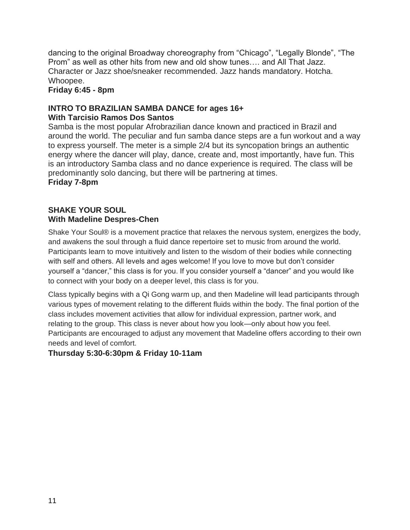dancing to the original Broadway choreography from "Chicago", "Legally Blonde", "The Prom" as well as other hits from new and old show tunes…. and All That Jazz. Character or Jazz shoe/sneaker recommended. Jazz hands mandatory. Hotcha. Whoopee.

**Friday 6:45 - 8pm**

#### **INTRO TO BRAZILIAN SAMBA DANCE for ages 16+ With Tarcisio Ramos Dos Santos**

Samba is the most popular Afrobrazilian dance known and practiced in Brazil and around the world. The peculiar and fun samba dance steps are a fun workout and a way to express yourself. The meter is a simple 2/4 but its syncopation brings an authentic energy where the dancer will play, dance, create and, most importantly, have fun. This is an introductory Samba class and no dance experience is required. The class will be predominantly solo dancing, but there will be partnering at times. **Friday 7-8pm**

## **SHAKE YOUR SOUL With Madeline Despres-Chen**

Shake Your Soul® is a movement practice that relaxes the nervous system, energizes the body, and awakens the soul through a fluid dance repertoire set to music from around the world. Participants learn to move intuitively and listen to the wisdom of their bodies while connecting with self and others. All levels and ages welcome! If you love to move but don't consider yourself a "dancer," this class is for you. If you consider yourself a "dancer" and you would like to connect with your body on a deeper level, this class is for you.

Class typically begins with a Qi Gong warm up, and then Madeline will lead participants through various types of movement relating to the different fluids within the body. The final portion of the class includes movement activities that allow for individual expression, partner work, and relating to the group. This class is never about how you look—only about how you feel. Participants are encouraged to adjust any movement that Madeline offers according to their own needs and level of comfort.

## **Thursday 5:30-6:30pm & Friday 10-11am**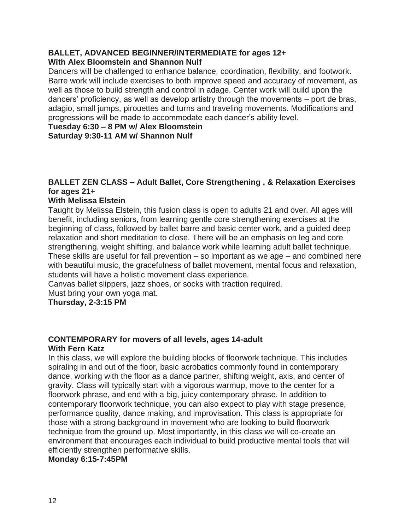## **BALLET, ADVANCED BEGINNER/INTERMEDIATE for ages 12+ With Alex Bloomstein and Shannon Nulf**

Dancers will be challenged to enhance balance, coordination, flexibility, and footwork. Barre work will include exercises to both improve speed and accuracy of movement, as well as those to build strength and control in adage. Center work will build upon the dancers' proficiency, as well as develop artistry through the movements – port de bras, adagio, small jumps, pirouettes and turns and traveling movements. Modifications and progressions will be made to accommodate each dancer's ability level.

**Tuesday 6:30 – 8 PM w/ Alex Bloomstein**

**Saturday 9:30-11 AM w/ Shannon Nulf**

## **BALLET ZEN CLASS – Adult Ballet, Core Strengthening , & Relaxation Exercises for ages 21+**

## **With Melissa Elstein**

Taught by Melissa Elstein, this fusion class is open to adults 21 and over. All ages will benefit, including seniors, from learning gentle core strengthening exercises at the beginning of class, followed by ballet barre and basic center work, and a guided deep relaxation and short meditation to close. There will be an emphasis on leg and core strengthening, weight shifting, and balance work while learning adult ballet technique. These skills are useful for fall prevention – so important as we age – and combined here with beautiful music, the gracefulness of ballet movement, mental focus and relaxation, students will have a holistic movement class experience.

Canvas ballet slippers, jazz shoes, or socks with traction required. Must bring your own yoga mat.

#### **Thursday, 2-3:15 PM**

## **CONTEMPORARY for movers of all levels, ages 14-adult With Fern Katz**

In this class, we will explore the building blocks of floorwork technique. This includes spiraling in and out of the floor, basic acrobatics commonly found in contemporary dance, working with the floor as a dance partner, shifting weight, axis, and center of gravity. Class will typically start with a vigorous warmup, move to the center for a floorwork phrase, and end with a big, juicy contemporary phrase. In addition to contemporary floorwork technique, you can also expect to play with stage presence, performance quality, dance making, and improvisation. This class is appropriate for those with a strong background in movement who are looking to build floorwork technique from the ground up. Most importantly, in this class we will co-create an environment that encourages each individual to build productive mental tools that will efficiently strengthen performative skills.

#### **Monday 6:15-7:45PM**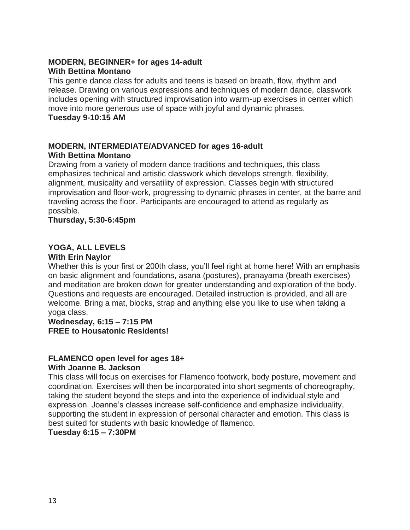## **MODERN, BEGINNER+ for ages 14-adult With Bettina Montano**

This gentle dance class for adults and teens is based on breath, flow, rhythm and release. Drawing on various expressions and techniques of modern dance, classwork includes opening with structured improvisation into warm-up exercises in center which move into more generous use of space with joyful and dynamic phrases.

## **Tuesday 9-10:15 AM**

## **MODERN, INTERMEDIATE/ADVANCED for ages 16-adult With Bettina Montano**

Drawing from a variety of modern dance traditions and techniques, this class emphasizes technical and artistic classwork which develops strength, flexibility, alignment, musicality and versatility of expression. Classes begin with structured improvisation and floor-work, progressing to dynamic phrases in center, at the barre and traveling across the floor. Participants are encouraged to attend as regularly as possible.

## **Thursday, 5:30-6:45pm**

## **YOGA, ALL LEVELS**

## **With Erin Naylor**

Whether this is your first or 200th class, you'll feel right at home here! With an emphasis on basic alignment and foundations, asana (postures), pranayama (breath exercises) and meditation are broken down for greater understanding and exploration of the body. Questions and requests are encouraged. Detailed instruction is provided, and all are welcome. Bring a mat, blocks, strap and anything else you like to use when taking a yoga class.

## **Wednesday, 6:15 – 7:15 PM FREE to Housatonic Residents!**

#### **FLAMENCO open level for ages 18+ With Joanne B. Jackson**

This class will focus on exercises for Flamenco footwork, body posture, movement and coordination. Exercises will then be incorporated into short segments of choreography, taking the student beyond the steps and into the experience of individual style and expression. Joanne's classes increase self-confidence and emphasize individuality, supporting the student in expression of personal character and emotion. This class is best suited for students with basic knowledge of flamenco.

**Tuesday 6:15 – 7:30PM**